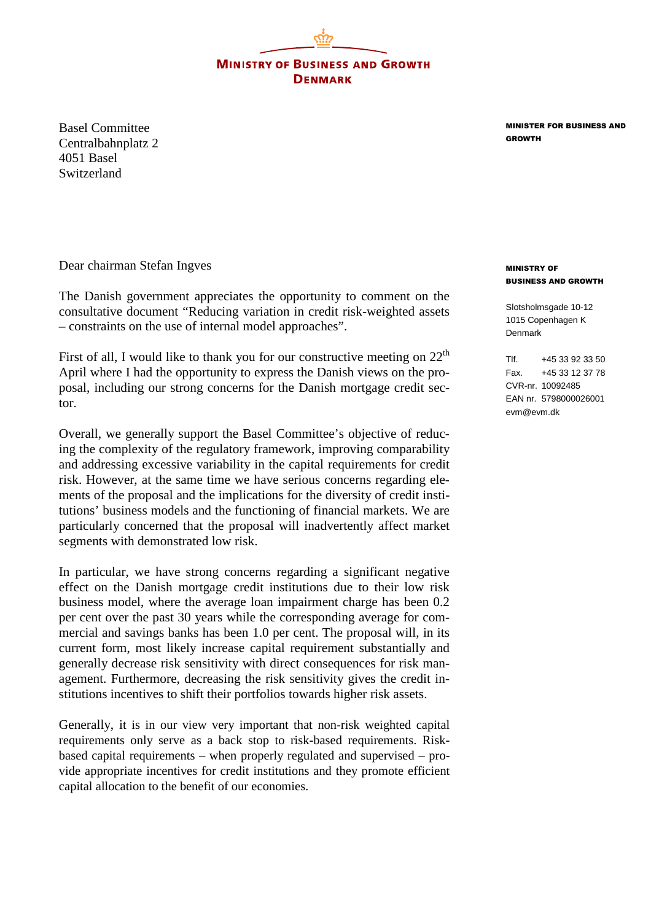**MINISTRY OF BUSINESS AND GROWTH DENMARK** 

Basel Committee Centralbahnplatz 2 4051 Basel Switzerland

MINISTER FOR BUSINESS AND GROWTH

Dear chairman Stefan Ingves

The Danish government appreciates the opportunity to comment on the consultative document "Reducing variation in credit risk-weighted assets – constraints on the use of internal model approaches".

First of all, I would like to thank you for our constructive meeting on  $22<sup>th</sup>$ April where I had the opportunity to express the Danish views on the proposal, including our strong concerns for the Danish mortgage credit sector.

Overall, we generally support the Basel Committee's objective of reducing the complexity of the regulatory framework, improving comparability and addressing excessive variability in the capital requirements for credit risk. However, at the same time we have serious concerns regarding elements of the proposal and the implications for the diversity of credit institutions' business models and the functioning of financial markets. We are particularly concerned that the proposal will inadvertently affect market segments with demonstrated low risk.

In particular, we have strong concerns regarding a significant negative effect on the Danish mortgage credit institutions due to their low risk business model, where the average loan impairment charge has been 0.2 per cent over the past 30 years while the corresponding average for commercial and savings banks has been 1.0 per cent. The proposal will, in its current form, most likely increase capital requirement substantially and generally decrease risk sensitivity with direct consequences for risk management. Furthermore, decreasing the risk sensitivity gives the credit institutions incentives to shift their portfolios towards higher risk assets.

Generally, it is in our view very important that non-risk weighted capital requirements only serve as a back stop to risk-based requirements. Riskbased capital requirements – when properly regulated and supervised – provide appropriate incentives for credit institutions and they promote efficient capital allocation to the benefit of our economies.

## MINISTRY OF BUSINESS AND GROWTH

Slotsholmsgade 10-12 1015 Copenhagen K Denmark

 $T$ If.  $+4533923350$ Fax. +45 33 12 37 78 CVR-nr. 10092485 EAN nr. 5798000026001 evm@evm.dk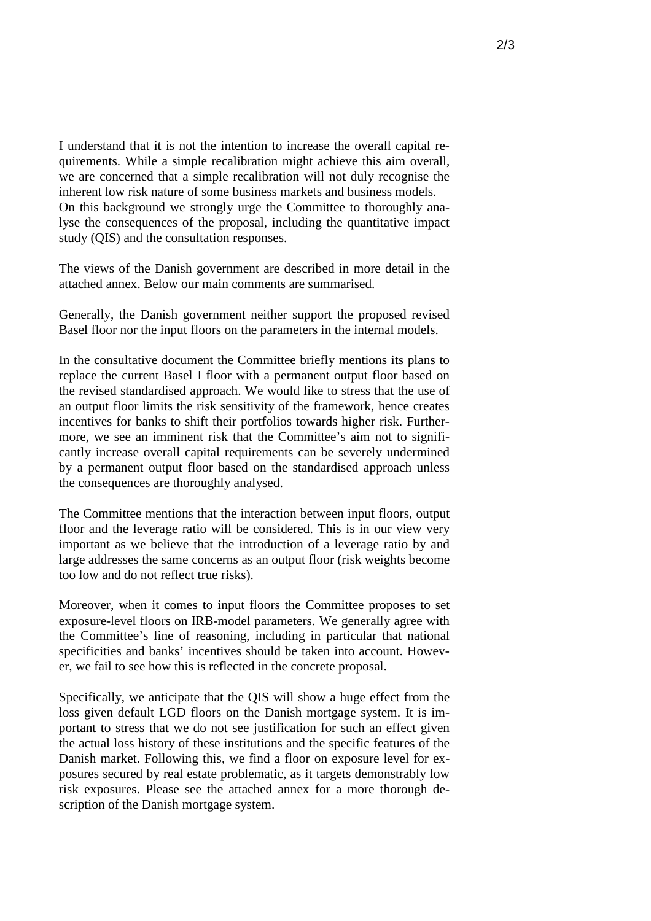I understand that it is not the intention to increase the overall capital requirements. While a simple recalibration might achieve this aim overall, we are concerned that a simple recalibration will not duly recognise the inherent low risk nature of some business markets and business models. On this background we strongly urge the Committee to thoroughly analyse the consequences of the proposal, including the quantitative impact study (QIS) and the consultation responses.

The views of the Danish government are described in more detail in the attached annex. Below our main comments are summarised.

Generally, the Danish government neither support the proposed revised Basel floor nor the input floors on the parameters in the internal models.

In the consultative document the Committee briefly mentions its plans to replace the current Basel I floor with a permanent output floor based on the revised standardised approach. We would like to stress that the use of an output floor limits the risk sensitivity of the framework, hence creates incentives for banks to shift their portfolios towards higher risk. Furthermore, we see an imminent risk that the Committee's aim not to significantly increase overall capital requirements can be severely undermined by a permanent output floor based on the standardised approach unless the consequences are thoroughly analysed.

The Committee mentions that the interaction between input floors, output floor and the leverage ratio will be considered. This is in our view very important as we believe that the introduction of a leverage ratio by and large addresses the same concerns as an output floor (risk weights become too low and do not reflect true risks).

Moreover, when it comes to input floors the Committee proposes to set exposure-level floors on IRB-model parameters. We generally agree with the Committee's line of reasoning, including in particular that national specificities and banks' incentives should be taken into account. However, we fail to see how this is reflected in the concrete proposal.

Specifically, we anticipate that the QIS will show a huge effect from the loss given default LGD floors on the Danish mortgage system. It is important to stress that we do not see justification for such an effect given the actual loss history of these institutions and the specific features of the Danish market. Following this, we find a floor on exposure level for exposures secured by real estate problematic, as it targets demonstrably low risk exposures. Please see the attached annex for a more thorough description of the Danish mortgage system.